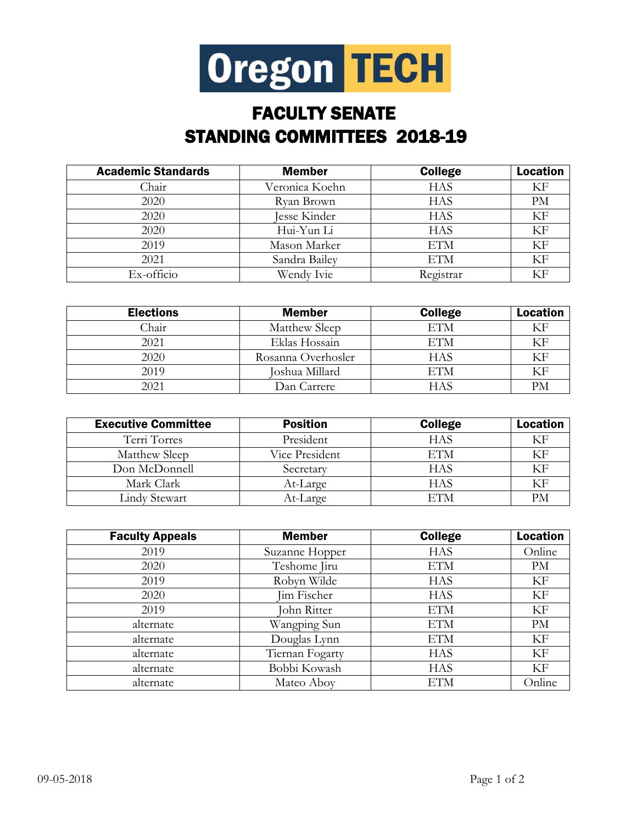

## FACULTY SENATE STANDING COMMITTEES 2018-19

| <b>Academic Standards</b> | <b>Member</b>       | <b>College</b> | <b>Location</b> |
|---------------------------|---------------------|----------------|-----------------|
| Chair                     | Veronica Koehn      | <b>HAS</b>     | KF              |
| 2020                      | Ryan Brown          | <b>HAS</b>     | <b>PM</b>       |
| 2020                      | <b>Iesse Kinder</b> | <b>HAS</b>     | KF              |
| 2020                      | Hui-Yun Li          | <b>HAS</b>     | KF              |
| 2019                      | Mason Marker        | <b>ETM</b>     | KF              |
| 2021                      | Sandra Bailey       | ETM            | KF              |
| Ex-officio                | Wendy Ivie          | Registrar      | KF              |

| <b>Elections</b> | <b>Member</b>      | <b>College</b> | <b>Location</b> |
|------------------|--------------------|----------------|-----------------|
| Chair            | Matthew Sleep      | <b>ETM</b>     | KF              |
| 2021             | Eklas Hossain      | <b>ETM</b>     | ΚF              |
| 2020             | Rosanna Overhosler | <b>HAS</b>     | KF              |
| 2019             | Joshua Millard     | ETM            | KF              |
| 2021             | Dan Carrere        | <b>HAS</b>     | РM              |

| <b>Executive Committee</b> | <b>Position</b> | <b>College</b> | <b>Location</b> |
|----------------------------|-----------------|----------------|-----------------|
| Terri Torres               | President       | HAS            | ΚF              |
| Matthew Sleep              | Vice President  | ETM            | KF              |
| Don McDonnell              | Secretary       | HAS            | KF              |
| Mark Clark                 | At-Large        | HAS            | ΚF              |
| Lindy Stewart              | At-Large        |                | PM              |

| <b>Faculty Appeals</b> | <b>Member</b>   | <b>College</b> | <b>Location</b> |
|------------------------|-----------------|----------------|-----------------|
| 2019                   | Suzanne Hopper  | <b>HAS</b>     | Online          |
| 2020                   | Teshome Jiru    | <b>ETM</b>     | PM              |
| 2019                   | Robyn Wilde     | <b>HAS</b>     | KF              |
| 2020                   | Jim Fischer     | <b>HAS</b>     | KF              |
| 2019                   | John Ritter     | <b>ETM</b>     | KF              |
| alternate              | Wangping Sun    | <b>ETM</b>     | PM              |
| alternate              | Douglas Lynn    | <b>ETM</b>     | KF              |
| alternate              | Tiernan Fogarty | <b>HAS</b>     | KF              |
| alternate              | Bobbi Kowash    | <b>HAS</b>     | KF              |
| alternate              | Mateo Aboy      | ETM            | Online          |